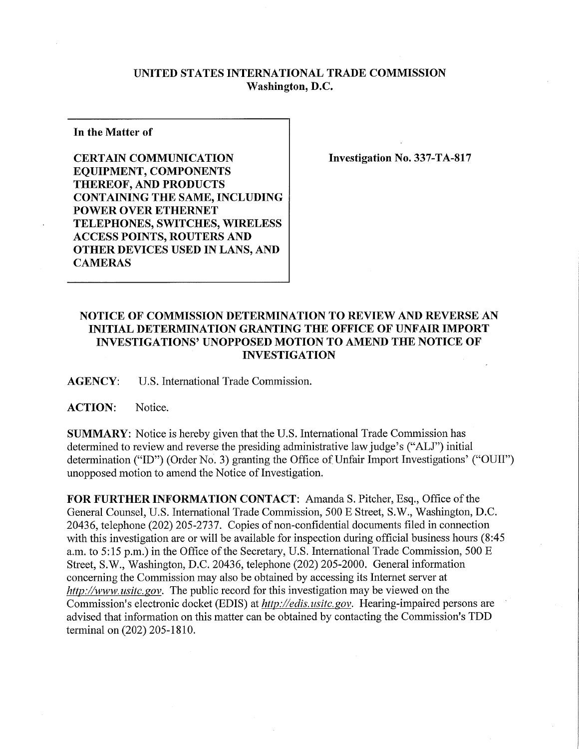## **UNITED STATES INTERNATIONAL TRADE COMMISSION Washington, D.C.**

**In the Matter of** 

**CERTAIN COMMUNICATION EQUIPMENT, COMPONENTS THEREOF, AND PRODUCTS CONTAINING THE SAME, INCLUDING POWER OVER ETHERNET TELEPHONES, SWITCHES, WIRELESS ACCESS POINTS, ROUTERS AND OTHER DEVICES USED IN LANS, AND CAMERAS** 

**Investigation No. 337-TA-817** 

## **NOTICE OF COMMISSION DETERMINATION TO REVIEW AND REVERSE AN INITIAL DETERMINATION GRANTING THE OFFICE OF UNFAIR IMPORT INVESTIGATIONS' UNOPPOSED MOTION TO AMEND THE NOTICE OF INVESTIGATION**

**AGENCY:** U.S. International Trade Commission.

**ACTION:** Notice.

**SUMMARY:** Notice is hereby given that the U.S. International Trade Commission has determined to review and reverse the presiding administrative law judge's ("ALJ") initial determination ("ID") (Order No. 3) granting the Office of Unfair Import Investigations' ("OUII") unopposed motion to amend the Notice of Investigation.

**FOR FURTHER INFORMATION CONTACT:** Amanda S. Pitcher, Esq., Office ofthe General Counsel, U.S. International Trade Commission, 500 E Street, S.W., Washington, D.C. 20436, telephone (202) 205-2737. Copies of non-confidential documents filed in connection with this investigation are or will be available for inspection during official business hours (8:45 a.m. to 5:15 p.m.) in the Office of the Secretary, U.S. International Trade Commission, 500 E Street, S.W., Washington, D.C. 20436, telephone (202) 205-2000. General information concerning the Commission may also be obtained by accessing its Internet server at *http://www. usitc. gov.* The public record for this investigation may be viewed on the Commission's electronic docket (EDIS) at *http://edis. usitc.gov.* Hearing-impaired persons are advised that information on this matter can be obtained by contacting the Commission's TDD terminal on (202) 205-1810.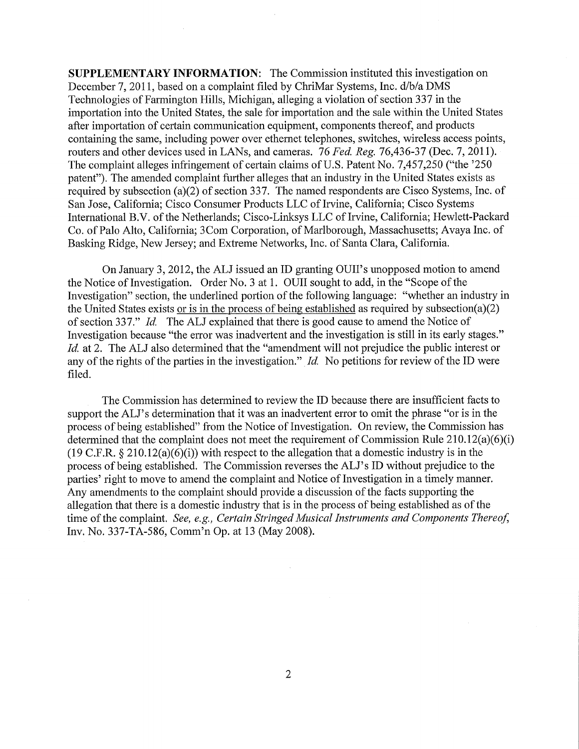**SUPPLEMENTARY INFORMATION:** The Commission instituted this investigation on December 7, 2011, based on a complaint filed by ChriMar Systems, Inc. d/b/a DMS Technologies of Farmington Hills, Michigan, alleging a violation of section 337 in the importation into the United States, the sale for importation and the sale within the United States after importation of certain communication equipment, components thereof, and products containing the same, including power over ethernet telephones, switches, wireless access points, routers and other devices used in LANs, and cameras. 76 *Fed. Reg. 76,436-37* (Dec. 7, 2011). The complaint alleges infringement of certain claims of U.S. Patent No. 7,457,250 ("the '250 patent"). The amended complaint further alleges that an industry in the United States exists as required by subsection (a)(2) of section 337. The named respondents are Cisco Systems, Inc. of San Jose, California; Cisco Consumer Products LLC of Irvine, California; Cisco Systems International B.V. of the Netherlands; Cisco-Linksys LLC of Irvine, California; Hewlett-Packard Co. of Palo Alto, California; 3Com Corporation, of Marlborough, Massachusetts; Avaya Inc. of Basking Ridge, New Jersey; and Extreme Networks, Inc. of Santa Clara, California.

On January 3, 2012, the ALJ issued an ID granting OUII's unopposed motion to amend the Notice of Investigation. Order No. 3 at 1. OUII sought to add, in the "Scope of the Investigation" section, the underlined portion of the following language: "whether an industry in the United States exists or is in the process of being established as required by subsection(a)(2) of section 337." *Id.* The ALJ explained that there is good cause to amend the Notice of Investigation because "the error was inadvertent and the investigation is still in its early stages." *Id.* at 2. The ALJ also determined that the "amendment will not prejudice the public interest or any of the rights of the parties in the investigation." *Id.* No petitions for review of the ID were filed.

The Commission has determined to review the ID because there are insufficient facts to support the ALJ's determination that it was an inadvertent error to omit the phrase "or is in the process of being established" from the Notice of Investigation. On review, the Commission has determined that the complaint does not meet the requirement of Commission Rule 210.12(a)(6)(i) (19 C.F.R.  $\S 210.12(a)(6)(i)$ ) with respect to the allegation that a domestic industry is in the process of being established. The Commission reverses the ALJ's ID without prejudice to the parties' right to move to amend the complaint and Notice of Investigation in a timely manner. Any amendments to the complaint should provide a discussion of the facts supporting the allegation that there is a domestic industry that is in the process of being established as of the time of the complaint. *See, e.g., Certain Stringed Musical Instruments and Components Thereof,*  Inv. No. 337-TA-586, Comm'n Op. at 13 (May 2008).